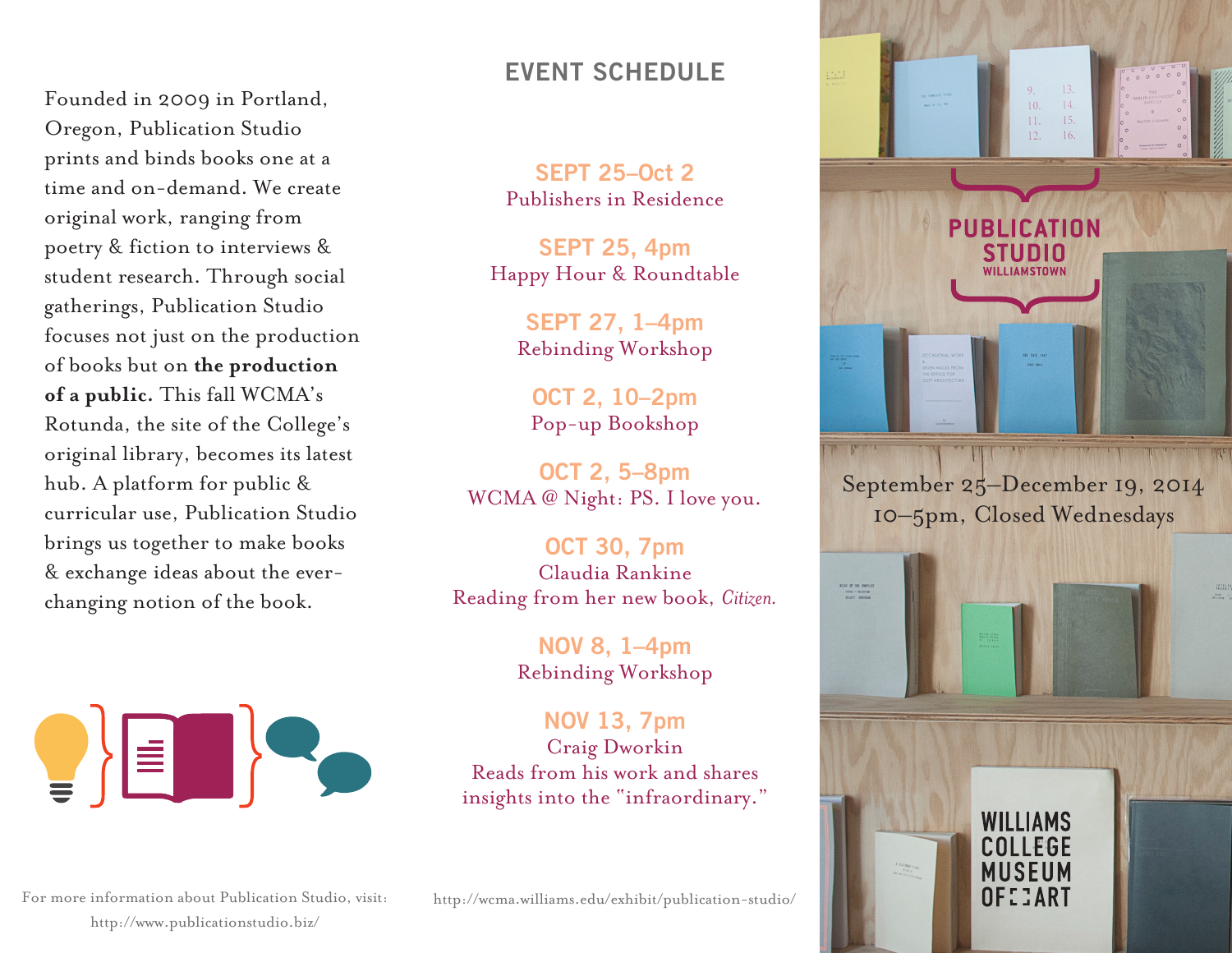Founded in 2009 in Portland, Oregon, Publication Studio prints and binds books one at a time and on-demand. We create original work, ranging from poetry & fiction to interviews & student research. Through social gatherings, Publication Studio focuses not just on the production of books but on **the production of a public.** This fall WCMA's Rotunda, the site of the College's original library, becomes its latest hub. A platform for public & curricular use, Publication Studio brings us together to make books & exchange ideas about the everchanging notion of the book.



## **EVENT SCHEDULE**

**SEPT 25–Oct 2** Publishers in Residence

**SEPT 25, 4pm** Happy Hour & Roundtable

> **SEPT 27, 1–4pm** Rebinding Workshop

**OCT 2, 10–2pm** Pop-up Bookshop

**OCT 2, 5–8pm** WCMA @ Night: PS. I love you.

**OCT 30, 7pm** Claudia Rankine Reading from her new book, *Citizen.*

> **NOV 8, 1–4pm** Rebinding Workshop

**NOV 13, 7pm** Craig Dworkin Reads from his work and shares insights into the "infraordinary."



September 25–December 19, 2014 10–5pm, Closed Wednesdays



For more information about Publication Studio, visit: http://wcma.williams.edu/exhibit/publication-studio/ http://www.publicationstudio.biz/